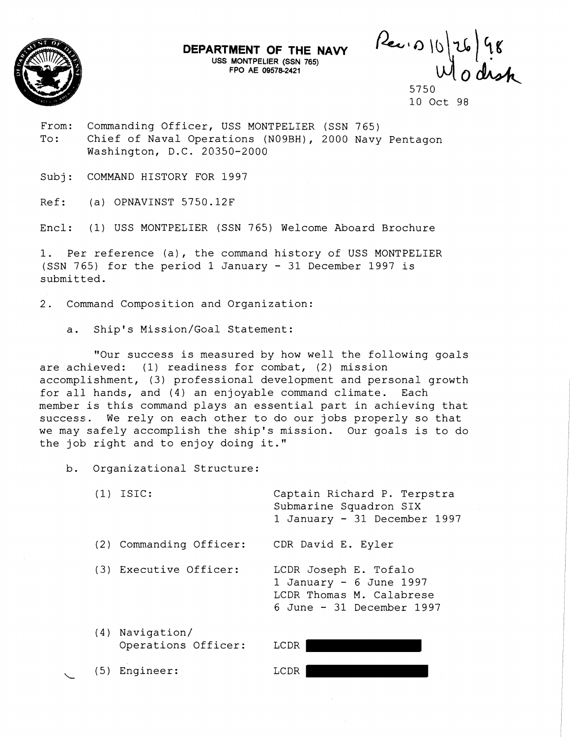

**USS MONTPELIER (SSN 765) FPO AE 095782421** 

**DEPARTMENT OF THE NAVY** Pi=w4, \b\a\ *5~*   $h$ 

5750 10 Oct 98

From: Commanding Officer, USS MONTPELIER (SSN 765) To: Chief of Naval Operations (N09BH), 2000 Navy Pentagon Washington, D.C. 20350-2000

Subj: COMMAND HISTORY FOR 1997

Ref: (a) OPNAVINST 5750.12F

Encl: (1) USS MONTPELIER (SSN 765) Welcome Aboard Brochure

1. Per reference (a), the command history of USS MONTPELIER (SSN 765) for the period 1 January - 31 December 1997 is submitted.

2. Command Composition and Organization:

a. Ship's Mission/Goal Statement:

"Our success is measured by how well the following goals are achieved: (1) readiness for combat, (2) mission accomplishment, (3) professional development and personal growth for all hands, and (4) an enjoyable command climate. Each member is this command plays an essential part in achieving that success. We rely on each other to do our jobs properly so that we may safely accomplish the ship's mission. Our goals is to do the job right and to enjoy doing it. "

b. Organizational Structure:

(1) ISIC: Captain Richard P. Terpstra Submarine Squadron SIX 1 January - 31 December 1997 (2) Commanding Officer: CDR David E. Eyler (3) Executive Officer: LCDR Joseph E. Tofalo 1 January  $-6$  June 1997 LCDR Thomas M. Calabrese 6 June - 31 December 1997

(4) Navigation/ Operations Officer: LCDR

 $\overline{\phantom{a}}$ 

(5) Engineer: LCDR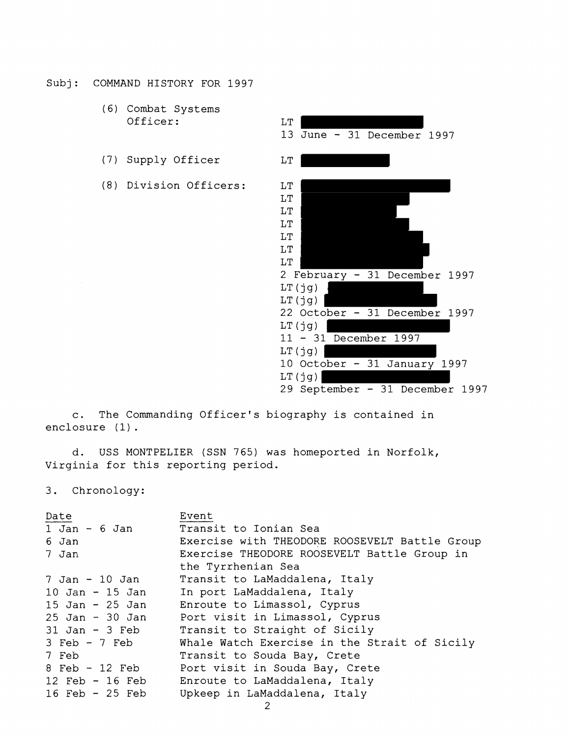Subj: COMMAND HISTORY FOR 1997

- (6) Combat Systems Officer: LT
- (7) Supply Officer LT
- (8) Division Officers: LT



c. The Commanding Officer's biography is contained in enclosure (1) .

d. USS MONTPELIER (SSN 765) was homeported in Norfolk, Virginia for this reporting period.

3. Chronology:

| Date                | Event                                         |
|---------------------|-----------------------------------------------|
| 1 Jan - 6 Jan       | Transit to Ionian Sea                         |
| 6 Jan               | Exercise with THEODORE ROOSEVELT Battle Group |
| 7 Jan               | Exercise THEODORE ROOSEVELT Battle Group in   |
|                     | the Tyrrhenian Sea                            |
| 7 Jan - 10 Jan      | Transit to LaMaddalena, Italy                 |
| $10$ Jan - $15$ Jan | In port LaMaddalena, Italy                    |
|                     | 15 Jan - 25 Jan Enroute to Limassol, Cyprus   |
| 25 Jan - 30 Jan     | Port visit in Limassol, Cyprus                |
|                     | 31 Jan - 3 Feb Transit to Straight of Sicily  |
| 3 Feb - 7 Feb       | Whale Watch Exercise in the Strait of Sicily  |
| 7 Feb               | Transit to Souda Bay, Crete                   |
| 8 Feb - 12 Feb      | Port visit in Souda Bay, Crete                |
|                     | 12 Feb - 16 Feb Enroute to LaMaddalena, Italy |
| $16$ Feb - $25$ Feb | Upkeep in LaMaddalena, Italy                  |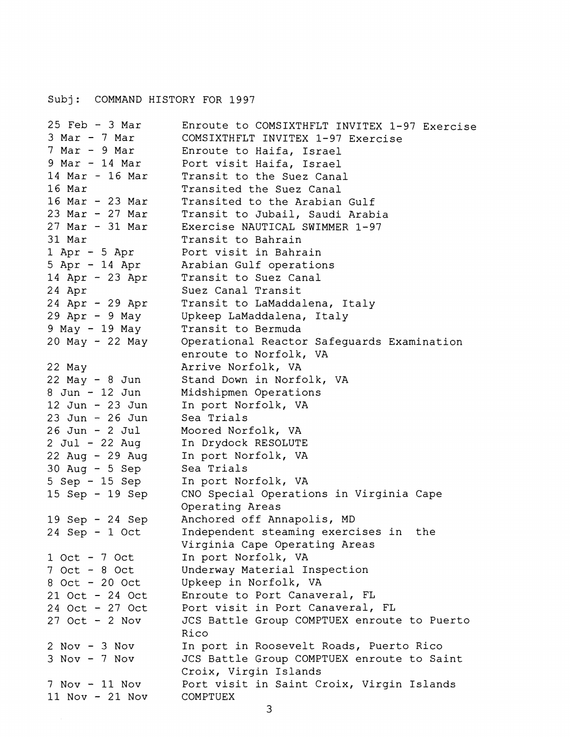## Subj: COMMAND HISTORY FOR 1997

```
25 Feb - 3 Mar 
3 Mar - 7 Mar 
7 Mar - 9 Mar 
9 Mar - 14 Mar 
14 Mar - 16 Mar 
16 Mar 
16 Mar - 23 Mar 
23 Mar - 27 Mar 
27 Mar - 31 Mar 
31 Mar 
1 Apr - 5 Apr 
5 Apr - 14 Apr 
14 Apr - 23 Apr 
24 Apr 
24 Apr - 29 Apr 
29 Apr - 9 May 
9 May - 19 May 
20 May - 22 May 
22 May 
22 May - 8 Jun
8 Jun - 12 Jun
12 Jun - 23 Jun 
23 Jun - 26 Jun 
26 Jun - 2 Jul 
2 Jul - 22 Aug 
22 Aug - 29 Aug 
30 Aug - 5 Sep 
5 Sep - 15 Sep 
15 Sep - 19 Sep 
19 Sep - 24 Sep 
24 Sep - 1 Oct 
1 Oct - 7 Oct 
7 Oct - 8 Oct 
8 Oct - 20 Oct 
21 Oct - 24 Oct 
24 Oct - 27 Oct 
27 Oct - 2 Nov 
2 Nov - 3Nov 
3 Nov - 7 Nov 
7 Nov - 11 Nov 
11 Nov - 21 Nov 
                      Enroute to COMSIXTHFLT INVITEX 1-97 Exercise 
                     COMSIXTHFLT INVITEX 1-97 Exercise 
                     Enroute to Haifa, Israel 
                     Port visit Haifa, Israel 
                     Transit to the Suez Canal 
                     Transited the Suez Canal 
                     Transited to the Arabian Gulf 
                     Transit to Jubail, Saudi Arabia 
                     Exercise NAUTICAL SWIMMER 1-97 
                     Transit to Bahrain 
                     Port visit in Bahrain 
                     Arabian Gulf operations 
                     Transit to Suez Canal 
                     Suez Canal Transit 
                     Transit to LaMaddalena, Italy 
                     Upkeep LaMaddalena, Italy 
                     Transit to Bermuda 
                     Operational Reactor Safeguards Examination 
                     enroute to Norfolk, VA 
                     Arrive Norfolk, VA 
                     Stand Down in Norfolk, VA 
                     Midshipmen Operations 
                     In port Norfolk, VA 
                     Sea Trials 
                     Moored Norfolk, VA 
                     In Drydock RESOLUTE 
                     In port Norfolk, VA 
                     Sea Trials 
                     In port Norfolk, VA 
                     CNO Special Operations in Virginia Cape 
                     Operating Areas 
                     Anchored off Annapolis, MD 
                     Independent steaming exercises in the 
                     Virginia Cape Operating Areas 
                     In port Norfolk, VA 
                     Underway Material Inspection 
                     Upkeep in Norfolk, VA 
                     Enroute to Port Canaveral, FL 
                     Port visit in Port Canaveral, FL 
                     JCS Battle Group COMPTUEX enroute to Puerto 
                     Rico 
                     In port in Roosevelt Roads, Puerto Rico 
                     JCS Battle Group COMPTUEX enroute to Saint 
                     Croix, Virgin Islands 
                     Port visit in Saint Croix, Virgin Islands 
                     COMPTUEX
```